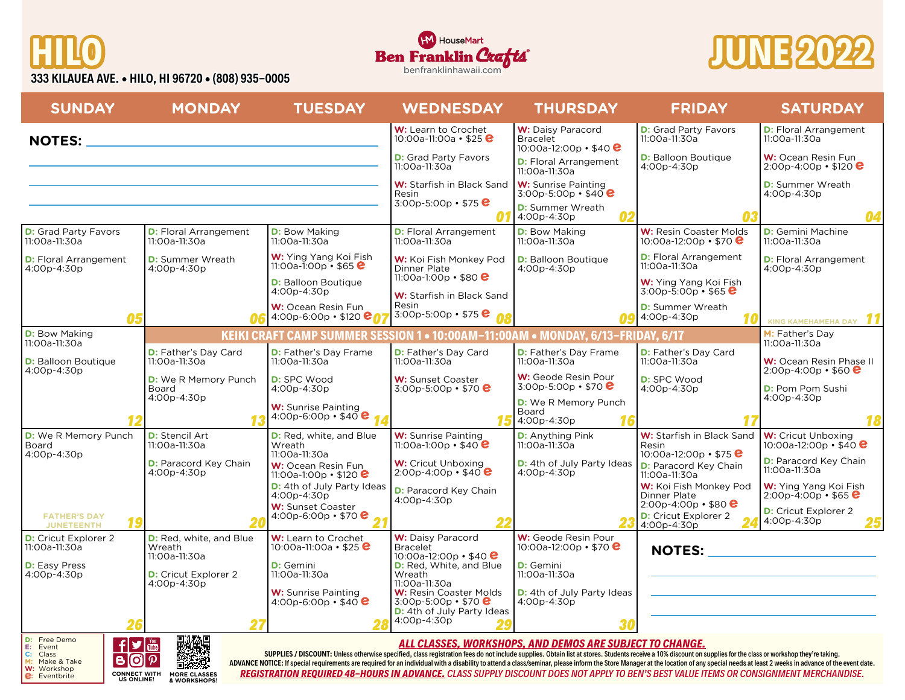







| <b>SUNDAY</b>                                                                                                                                                                                                                                                                                                                                                                                    | <b>MONDAY</b>                                       | <b>TUESDAY</b>                                                               | <b>WEDNESDAY</b>                                                                         | <b>THURSDAY</b>                                                                 | <b>FRIDAY</b>                                                                   | <b>SATURDAY</b>                                             |
|--------------------------------------------------------------------------------------------------------------------------------------------------------------------------------------------------------------------------------------------------------------------------------------------------------------------------------------------------------------------------------------------------|-----------------------------------------------------|------------------------------------------------------------------------------|------------------------------------------------------------------------------------------|---------------------------------------------------------------------------------|---------------------------------------------------------------------------------|-------------------------------------------------------------|
| <b>NOTES:</b>                                                                                                                                                                                                                                                                                                                                                                                    | <u> 1980 - Johann Barbara, martxa alemaniar a</u>   |                                                                              | W: Learn to Crochet<br>10:00a-11:00a • \$25 <b>e</b>                                     | <b>W:</b> Daisy Paracord<br><b>Bracelet</b><br>10:00a-12:00p • \$40 $\bullet$   | <b>D:</b> Grad Party Favors<br>11:00a-11:30a                                    | <b>D:</b> Floral Arrangement<br>11:00a-11:30a               |
|                                                                                                                                                                                                                                                                                                                                                                                                  |                                                     |                                                                              | <b>D:</b> Grad Party Favors<br>11:00a-11:30a                                             | <b>D:</b> Floral Arrangement<br>11:00a-11:30a                                   | <b>D:</b> Balloon Boutique<br>4:00p-4:30p                                       | W: Ocean Resin Fun<br>$2:00p-4:00p \cdot $120$              |
|                                                                                                                                                                                                                                                                                                                                                                                                  |                                                     |                                                                              | W: Starfish in Black Sand<br>Resin<br>3:00p-5:00p • \$75 $e$                             | <b>W:</b> Sunrise Painting<br>$3.00p - 5.00p - $40e$                            |                                                                                 | <b>D:</b> Summer Wreath<br>4:00p-4:30p                      |
|                                                                                                                                                                                                                                                                                                                                                                                                  |                                                     |                                                                              |                                                                                          | <b>D:</b> Summer Wreath<br>4:00p-4:30p                                          |                                                                                 | 04                                                          |
| <b>D:</b> Grad Party Favors<br>11:00a-11:30a                                                                                                                                                                                                                                                                                                                                                     | <b>D:</b> Floral Arrangement<br>11:00a-11:30a       | <b>D:</b> Bow Making<br>11:00a-11:30a                                        | <b>D:</b> Floral Arrangement<br>11:00a-11:30a                                            | <b>D:</b> Bow Making<br>11:00a-11:30a                                           | W: Resin Coaster Molds<br>10:00a-12:00p • \$70 $\bullet$                        | <b>D:</b> Gemini Machine<br>11:00a-11:30a                   |
| <b>D:</b> Floral Arrangement<br>4:00p-4:30p                                                                                                                                                                                                                                                                                                                                                      | <b>D:</b> Summer Wreath<br>4:00p-4:30p              | W: Ying Yang Koi Fish<br>11:00a-1:00p $\cdot$ \$65 $\bullet$                 | W: Koi Fish Monkey Pod<br><b>Dinner Plate</b>                                            | <b>D:</b> Balloon Boutique<br>4:00p-4:30p                                       | <b>D:</b> Floral Arrangement<br>11:00a-11:30a                                   | <b>D:</b> Floral Arrangement<br>4:00p-4:30p                 |
|                                                                                                                                                                                                                                                                                                                                                                                                  |                                                     | <b>D:</b> Balloon Boutique<br>4:00p-4:30p                                    | 11:00a-1:00p • \$80 $e$<br>W: Starfish in Black Sand                                     |                                                                                 | W: Ying Yang Koi Fish<br>$3:00p - 5:00p \cdot $65$                              |                                                             |
|                                                                                                                                                                                                                                                                                                                                                                                                  |                                                     | W: Ocean Resin Fun<br>4:00p-6:00p • \$120 <b>ent</b>                         | Resin<br>3:00p-5:00p • \$75 $\bullet$                                                    |                                                                                 | <b>D:</b> Summer Wreath<br>4:00p-4:30p                                          | KING KAMEHAMEHA DAY                                         |
| <b>D:</b> Bow Making<br>11:00a-11:30a                                                                                                                                                                                                                                                                                                                                                            |                                                     |                                                                              |                                                                                          | KEIKI CRAFT CAMP SUMMER SESSION 1 . 10:00AM-11:00AM . MONDAY, 6/13-FRIDAY, 6/17 |                                                                                 | M: Father's Day<br>11:00a-11:30a                            |
| <b>D:</b> Balloon Boutique<br>4:00p-4:30p                                                                                                                                                                                                                                                                                                                                                        | <b>D:</b> Father's Day Card<br>11:00a-11:30a        | <b>D:</b> Father's Day Frame<br>11:00a-11:30a                                | D: Father's Day Card<br>11:00a-11:30a                                                    | <b>D:</b> Father's Day Frame<br>11:00a-11:30a                                   | <b>D:</b> Father's Day Card<br>11:00a-11:30a                                    | W: Ocean Resin Phase II<br>$2:00p - 4:00p \cdot $60$        |
|                                                                                                                                                                                                                                                                                                                                                                                                  | <b>D:</b> We R Memory Punch<br>Board<br>4:00p-4:30p | <b>D:</b> SPC Wood<br>4:00p-4:30p                                            | <b>W:</b> Sunset Coaster<br>3:00p-5:00p • \$70 $\bullet$                                 | W: Geode Resin Pour<br>$3:00p - 5:00p \cdot $70$                                | <b>D:</b> SPC Wood<br>4:00p-4:30p                                               | <b>D:</b> Pom Pom Sushi<br>4:00p-4:30p                      |
|                                                                                                                                                                                                                                                                                                                                                                                                  |                                                     | <b>W:</b> Sunrise Painting<br>4:00p-6:00p · \$40 $e$                         |                                                                                          | <b>D:</b> We R Memory Punch<br>Board<br>4:00p-4:30p                             |                                                                                 | 18                                                          |
| <b>D:</b> We R Memory Punch<br>Board                                                                                                                                                                                                                                                                                                                                                             | <b>D:</b> Stencil Art<br>11:00a-11:30a              | D: Red, white, and Blue<br>Wreath                                            | <b>W:</b> Sunrise Painting<br>11:00a-1:00p • \$40 $e$                                    | <b>D:</b> Anything Pink<br>$11:00a - 11:30a$                                    | W: Starfish in Black Sand<br>Resin                                              | <b>W:</b> Cricut Unboxing<br>10:00a-12:00p • \$40 $\bullet$ |
| 4:00p-4:30p                                                                                                                                                                                                                                                                                                                                                                                      | <b>D:</b> Paracord Key Chain<br>4:00p-4:30p         | 11:00a-11:30a<br>W: Ocean Resin Fun<br>11:00a-1:00p • \$120 $\bullet$        | <b>W:</b> Cricut Unboxing<br>$2:00p-4:00p \cdot $40$ <sup>e</sup>                        | <b>D:</b> 4th of July Party Ideas<br>4:00p-4:30p                                | 10:00a-12:00p • \$75 $\bullet$<br><b>D:</b> Paracord Key Chain<br>11:00a-11:30a | <b>D:</b> Paracord Key Chain<br>11:00a-11:30a               |
|                                                                                                                                                                                                                                                                                                                                                                                                  |                                                     | <b>D:</b> 4th of July Party Ideas<br>4:00p-4:30p<br><b>W:</b> Sunset Coaster | <b>D:</b> Paracord Key Chain<br>4:00p-4:30p                                              |                                                                                 | W: Koi Fish Monkey Pod<br>Dinner Plate<br>$2:00p - 4:00p \cdot $80$             | W: Ying Yang Koi Fish<br>$2:00p - 4:00p - $65$              |
| <b>FATHER'S DAY</b><br><b>JUNETEENTH</b>                                                                                                                                                                                                                                                                                                                                                         |                                                     | 4:00p-6:00p • \$70 $\bullet$                                                 |                                                                                          |                                                                                 | <b>D:</b> Cricut Explorer 2<br>4:00p-4:30p                                      | <b>D:</b> Cricut Explorer 2<br>$4:00p - 4:30p$              |
| <b>D:</b> Cricut Explorer 2<br>11:00a-11:30a                                                                                                                                                                                                                                                                                                                                                     | D: Red, white, and Blue<br>Wreath<br>11:00a-11:30a  | W: Learn to Crochet<br>10:00a-11:00a • \$25 $\bullet$                        | W: Daisy Paracord<br><b>Bracelet</b><br>10:00a-12:00p • \$40 $\bullet$                   | W: Geode Resin Pour<br>10:00a-12:00p • \$70 $\bullet$                           | <b>NOTES:</b>                                                                   | <u> 1990 - Johann Barbara, martxa a</u>                     |
| <b>D:</b> Easy Press<br>4:00p-4:30p                                                                                                                                                                                                                                                                                                                                                              | <b>D:</b> Cricut Explorer 2<br>4:00p-4:30p          | D: Gemini<br>11:00a-11:30a                                                   | <b>D:</b> Red, White, and Blue<br>Wreath<br>11:00a-11:30a                                | <b>D:</b> Gemini<br>11:00a-11:30a                                               |                                                                                 |                                                             |
|                                                                                                                                                                                                                                                                                                                                                                                                  |                                                     | <b>W:</b> Sunrise Painting<br>4:00p-6:00p • \$40 $e$                         | <b>W: Resin Coaster Molds</b><br>$3:00p - 5:00p \cdot $70$<br>D: 4th of July Party Ideas | <b>D:</b> 4th of July Party Ideas<br>4:00p-4:30p                                |                                                                                 |                                                             |
|                                                                                                                                                                                                                                                                                                                                                                                                  |                                                     |                                                                              | 4:00p-4:30p                                                                              | 30                                                                              |                                                                                 |                                                             |
| <b>D:</b> Free Demo<br><b>E:</b> Event<br><b>C:</b> Class<br><b>M:</b> Make & Take<br>$\mathbf{f}$ $\mathbf{y}$<br>ALL CLASSES, WORKSHOPS, AND DEMOS ARE SUBJECT TO CHANGE.<br>SUPPLIES / DISCOUNT: Unless otherwise specified, class registration fees do not include supplies. Obtain list at stores. Students receive a 10% discount on supplies for the class or workshop they're taking.    |                                                     |                                                                              |                                                                                          |                                                                                 |                                                                                 |                                                             |
| BOP<br>散越<br>ADVANCE NOTICE: If special requirements are required for an individual with a disability to attend a class/seminar, please inform the Store Manager at the location of any special needs at least 2 weeks in advance of the ev<br>W: Workshop<br>ER ETIGH REGUIRER 10. HAHRO HI SRIISHAE, OLSOO OHRRULRIOOOHUT ROED HOT SRRULTO REGUI REGE HIJHE ITESSO OR OOSIGIOUSENT MEROHANDIGI |                                                     |                                                                              |                                                                                          |                                                                                 |                                                                                 |                                                             |

**SUPPLIES / DISCOUNT:** Unless otherwise specified, class registration fees do not include supplies. Obtain list at stores. Students receive a 10% discount on supplies for the class or workshop they're taking. ADVANCE NOTICE: If special requirements are required for an individual with a disability to attend a class/seminar, please inform the Store Manager at the location of any special needs at least 2 weeks in advance of the ev *REGISTRATION REQUIRED 48-HOURS IN ADVANCE. CLASS SUPPLY DISCOUNT DOES NOT APPLY TO BEN'S BEST VALUE ITEMS OR CONSIGNMENT MERCHANDISE.* **Eventbrite CONNECT WITH MORE CLASSES**<br>
US ONLINE! & WORKSHOPS!